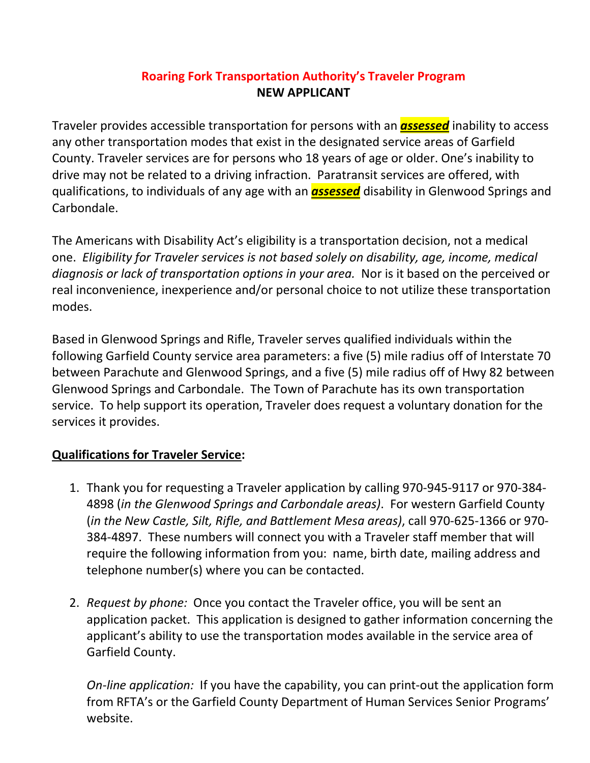## **Roaring Fork Transportation Authority's Traveler Program NEW APPLICANT**

Traveler provides accessible transportation for persons with an *assessed* inability to access any other transportation modes that exist in the designated service areas of Garfield County. Traveler services are for persons who 18 years of age or older. One's inability to drive may not be related to a driving infraction. Paratransit services are offered, with qualifications, to individuals of any age with an *assessed* disability in Glenwood Springs and Carbondale.

The Americans with Disability Act's eligibility is a transportation decision, not a medical one. *Eligibility for Traveler services is not based solely on disability, age, income, medical diagnosis or lack of transportation options in your area.* Nor is it based on the perceived or real inconvenience, inexperience and/or personal choice to not utilize these transportation modes.

Based in Glenwood Springs and Rifle, Traveler serves qualified individuals within the following Garfield County service area parameters: a five (5) mile radius off of Interstate 70 between Parachute and Glenwood Springs, and a five (5) mile radius off of Hwy 82 between Glenwood Springs and Carbondale. The Town of Parachute has its own transportation service. To help support its operation, Traveler does request a voluntary donation for the services it provides.

## **Qualifications for Traveler Service:**

- 1. Thank you for requesting a Traveler application by calling 970-945-9117 or 970-384- 4898 (*in the Glenwood Springs and Carbondale areas)*. For western Garfield County (*in the New Castle, Silt, Rifle, and Battlement Mesa areas)*, call 970-625-1366 or 970- 384-4897. These numbers will connect you with a Traveler staff member that will require the following information from you: name, birth date, mailing address and telephone number(s) where you can be contacted.
- 2. *Request by phone:* Once you contact the Traveler office, you will be sent an application packet. This application is designed to gather information concerning the applicant's ability to use the transportation modes available in the service area of Garfield County.

*On-line application:* If you have the capability, you can print-out the application form from RFTA's or the Garfield County Department of Human Services Senior Programs' website.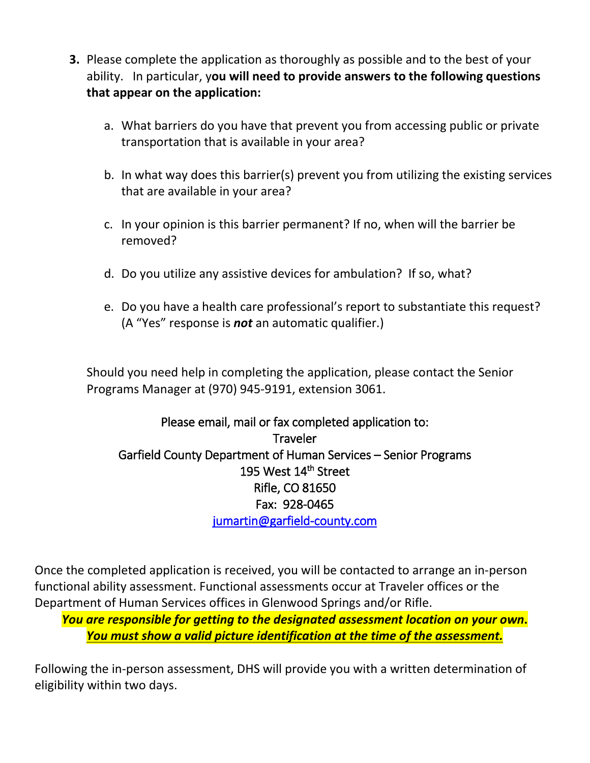- **3.** Please complete the application as thoroughly as possible and to the best of your ability. In particular, y**ou will need to provide answers to the following questions that appear on the application:**
	- a. What barriers do you have that prevent you from accessing public or private transportation that is available in your area?
	- b. In what way does this barrier(s) prevent you from utilizing the existing services that are available in your area?
	- c. In your opinion is this barrier permanent? If no, when will the barrier be removed?
	- d. Do you utilize any assistive devices for ambulation? If so, what?
	- e. Do you have a health care professional's report to substantiate this request? (A "Yes" response is *not* an automatic qualifier.)

Should you need help in completing the application, please contact the Senior Programs Manager at (970) 945-9191, extension 3061.

Please email, mail or fax completed application to: **Traveler** Garfield County Department of Human Services – Senior Programs 195 West 14<sup>th</sup> Street Rifle, CO 81650 Fax: 928-0465 [jumartin@garfield-county.com](mailto:jumartin@garfield-county.com) 

Once the completed application is received, you will be contacted to arrange an in-person functional ability assessment. Functional assessments occur at Traveler offices or the Department of Human Services offices in Glenwood Springs and/or Rifle.

*You are responsible for getting to the designated assessment location on your own***.** *You must show a valid picture identification at the time of the assessment.*

Following the in-person assessment, DHS will provide you with a written determination of eligibility within two days.